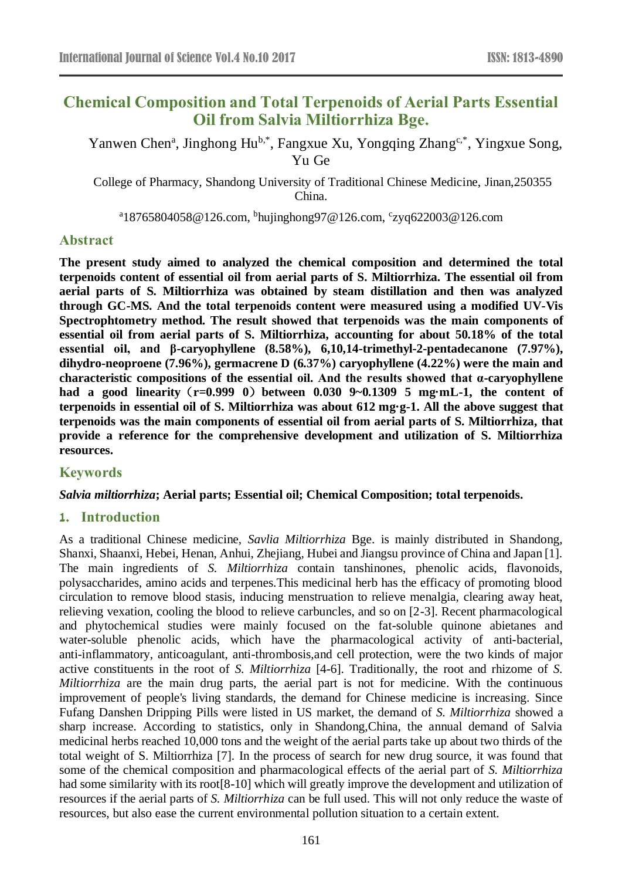# **Chemical Composition and Total Terpenoids of Aerial Parts Essential Oil from Salvia Miltiorrhiza Bge.**

Yanwen Chen<sup>a</sup>, Jinghong Hu<sup>b,\*</sup>, Fangxue Xu, Yongqing Zhang<sup>c,\*</sup>, Yingxue Song, Yu Ge

College of Pharmacy, Shandong University of Traditional Chinese Medicine, Jinan,250355 China.

<sup>a</sup>18765804058@126.com, <sup>b</sup>hujinghong97@126.com, <sup>c</sup>zyq622003@126.com

### **Abstract**

**The present study aimed to analyzed the chemical composition and determined the total terpenoids content of essential oil from aerial parts of S. Miltiorrhiza. The essential oil from aerial parts of S. Miltiorrhiza was obtained by steam distillation and then was analyzed through GC-MS. And the total terpenoids content were measured using a modified UV-Vis Spectrophtometry method. The result showed that terpenoids was the main components of essential oil from aerial parts of S. Miltiorrhiza, accounting for about 50.18% of the total essential oil, and β-caryophyllene (8.58%), 6,10,14-trimethyl-2-pentadecanone (7.97%), dihydro-neoproene (7.96%), germacrene D (6.37%) caryophyllene (4.22%) were the main and characteristic compositions of the essential oil. And the results showed that α-caryophyllene**  had a good linearity (r=0.999 0) between 0.030 9~0.1309 5 mg mL-1, the content of terpenoids in essential oil of S. Miltiorrhiza was about 612 mg g-1. All the above suggest that **terpenoids was the main components of essential oil from aerial parts of S. Miltiorrhiza, that provide a reference for the comprehensive development and utilization of S. Miltiorrhiza resources.**

## **Keywords**

### *Salvia miltiorrhiza***; Aerial parts; Essential oil; Chemical Composition; total terpenoids.**

### **1. Introduction**

As a traditional Chinese medicine, *Savlia Miltiorrhiza* Bge. is mainly distributed in Shandong, Shanxi, Shaanxi, Hebei, Henan, Anhui, Zhejiang, Hubei and Jiangsu province of China and Japan [1]. The main ingredients of *S. Miltiorrhiza* contain tanshinones, phenolic acids, flavonoids, polysaccharides, amino acids and terpenes.This medicinal herb has the efficacy of promoting blood circulation to remove blood stasis, inducing menstruation to relieve menalgia, clearing away heat, relieving vexation, cooling the blood to relieve carbuncles, and so on [2-3]. Recent pharmacological and phytochemical studies were mainly focused on the fat-soluble quinone abietanes and water-soluble phenolic acids, which have the pharmacological activity of anti-bacterial, anti-inflammatory, anticoagulant, anti-thrombosis,and cell protection, were the two kinds of major active constituents in the root of *S. Miltiorrhiza* [4-6]. Traditionally, the root and rhizome of *S. Miltiorrhiza* are the main drug parts, the aerial part is not for medicine. With the continuous improvement of people's living standards, the demand for Chinese medicine is increasing. Since Fufang Danshen Dripping Pills were listed in US market, the demand of *S. Miltiorrhiza* showed a sharp increase. According to statistics, only in Shandong,China, the annual demand of Salvia medicinal herbs reached 10,000 tons and the weight of the aerial parts take up about two thirds of the total weight of S. Miltiorrhiza [7]. In the process of search for new drug source, it was found that some of the chemical composition and pharmacological effects of the aerial part of *S. Miltiorrhiza* had some similarity with its root[8-10] which will greatly improve the development and utilization of resources if the aerial parts of *S. Miltiorrhiza* can be full used. This will not only reduce the waste of resources, but also ease the current environmental pollution situation to a certain extent.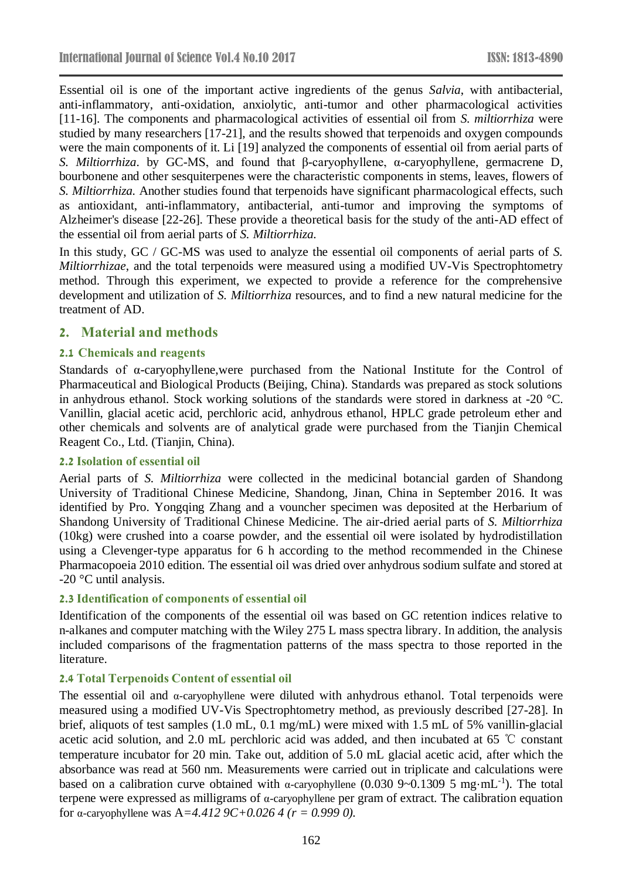Essential oil is one of the important active ingredients of the genus *Salvia*, with antibacterial, anti-inflammatory, anti-oxidation, anxiolytic, anti-tumor and other pharmacological activities [11-16]. The components and pharmacological activities of essential oil from *S. miltiorrhiza* were studied by many researchers [17-21], and the results showed that terpenoids and oxygen compounds were the main components of it. Li [19] analyzed the components of essential oil from aerial parts of *S. Miltiorrhiza*. by GC-MS, and found that β-caryophyllene, α-caryophyllene, germacrene D, bourbonene and other sesquiterpenes were the characteristic components in stems, leaves, flowers of *S. Miltiorrhiza.* Another studies found that terpenoids have significant pharmacological effects, such as antioxidant, anti-inflammatory, antibacterial, anti-tumor and improving the symptoms of Alzheimer's disease [22-26]. These provide a theoretical basis for the study of the anti-AD effect of the essential oil from aerial parts of *S. Miltiorrhiza.*

In this study, GC / GC-MS was used to analyze the essential oil components of aerial parts of *S. Miltiorrhizae*, and the total terpenoids were measured using a modified UV-Vis Spectrophtometry method. Through this experiment, we expected to provide a reference for the comprehensive development and utilization of *S. Miltiorrhiza* resources, and to find a new natural medicine for the treatment of AD.

### **2. Material and methods**

#### **2.1 Chemicals and reagents**

Standards of α-caryophyllene,were purchased from the National Institute for the Control of Pharmaceutical and Biological Products (Beijing, China). Standards was prepared as stock solutions in anhydrous ethanol. Stock working solutions of the standards were stored in darkness at -20  $\mathcal{C}$ . Vanillin, glacial acetic acid, perchloric acid, anhydrous ethanol, HPLC grade petroleum ether and other chemicals and solvents are of analytical grade were purchased from the Tianjin Chemical Reagent Co., Ltd. (Tianjin, China).

#### **2.2 Isolation of essential oil**

Aerial parts of *S. Miltiorrhiza* were collected in the medicinal botancial garden of Shandong University of Traditional Chinese Medicine, Shandong, Jinan, China in September 2016. It was identified by Pro. Yongqing Zhang and a vouncher specimen was deposited at the Herbarium of Shandong University of Traditional Chinese Medicine. The air-dried aerial parts of *S. Miltiorrhiza* (10kg) were crushed into a coarse powder, and the essential oil were isolated by hydrodistillation using a Clevenger-type apparatus for 6 h according to the method recommended in the Chinese Pharmacopoeia 2010 edition. The essential oil was dried over anhydrous sodium sulfate and stored at -20  $\mathcal C$  until analysis.

#### **2.3 Identification of components of essential oil**

Identification of the components of the essential oil was based on GC retention indices relative to n-alkanes and computer matching with the Wiley 275 L mass spectra library. In addition, the analysis included comparisons of the fragmentation patterns of the mass spectra to those reported in the literature.

#### **2.4 Total Terpenoids Content of essential oil**

The essential oil and α-caryophyllene were diluted with anhydrous ethanol. Total terpenoids were measured using a modified UV-Vis Spectrophtometry method, as previously described [27-28]. In brief, aliquots of test samples (1.0 mL, 0.1 mg/mL) were mixed with 1.5 mL of 5% vanillin-glacial acetic acid solution, and 2.0 mL perchloric acid was added, and then incubated at 65 ℃ constant temperature incubator for 20 min. Take out, addition of 5.0 mL glacial acetic acid, after which the absorbance was read at 560 nm. Measurements were carried out in triplicate and calculations were based on a calibration curve obtained with  $\alpha$ -caryophyllene (0.030 9~0.1309 5 mg·mL<sup>-1</sup>). The total terpene were expressed as milligrams of α-caryophyllene per gram of extract. The calibration equation for α-caryophyllene was A=4.412 9C+0.026 4 ( $r = 0.999$  0).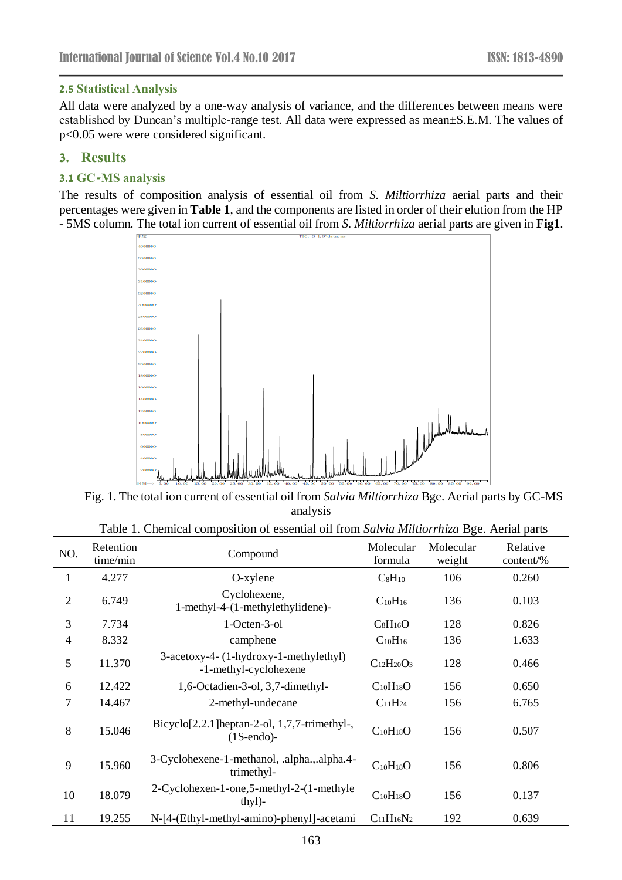### **2.5 Statistical Analysis**

All data were analyzed by a one-way analysis of variance, and the differences between means were established by Duncan's multiple-range test. All data were expressed as mean±S.E.M. The values of p<0.05 were were considered significant.

### **3. Results**

### **3.1 GC-MS analysis**

The results of composition analysis of essential oil from *S. Miltiorrhiza* aerial parts and their percentages were given in **Table 1**, and the components are listed in order of their elution from the HP - 5MS column. The total ion current of essential oil from *S. Miltiorrhiza* aerial parts are given in **Fig1**.



Fig. 1. The total ion current of essential oil from *Salvia Miltiorrhiza* Bge. Aerial parts by GC-MS analysis

| NO.            | Retention<br>time/min | Compound                                                          | Molecular<br>formula | Molecular<br>weight | Relative<br>$content\%$ |
|----------------|-----------------------|-------------------------------------------------------------------|----------------------|---------------------|-------------------------|
| $\mathbf{1}$   | 4.277                 | $O$ -xylene                                                       | $C_8H_{10}$          | 106                 | 0.260                   |
| $\overline{2}$ | 6.749                 | Cyclohexene,<br>1-methyl-4-(1-methylethylidene)-                  | $C_{10}H_{16}$       | 136                 | 0.103                   |
| 3              | 7.734                 | 1-Octen-3-ol                                                      | $C_8H_{16}O$         | 128                 | 0.826                   |
| $\overline{4}$ | 8.332                 | camphene                                                          | $C_{10}H_{16}$       | 136                 | 1.633                   |
| 5              | 11.370                | 3-acetoxy-4- (1-hydroxy-1-methylethyl)<br>-1-methyl-cyclohexene   | $C_{12}H_{20}O_3$    | 128                 | 0.466                   |
| 6              | 12.422                | 1,6-Octadien-3-ol, 3,7-dimethyl-                                  | $C_{10}H_{18}O$      | 156                 | 0.650                   |
| $\overline{7}$ | 14.467                | 2-methyl-undecane                                                 | $C_{11}H_{24}$       | 156                 | 6.765                   |
| 8              | 15.046                | Bicyclo[2.2.1] heptan-2-ol, $1,7,7$ -trimethyl-,<br>$(1S-endo)$ - | $C_{10}H_{18}O$      | 156                 | 0.507                   |
| 9              | 15.960                | 3-Cyclohexene-1-methanol, .alpha.,.alpha.4-<br>trimethyl-         | $C_{10}H_{18}O$      | 156                 | 0.806                   |
| 10             | 18.079                | 2-Cyclohexen-1-one,5-methyl-2-(1-methyle<br>thyl)-                | $C_{10}H_{18}O$      | 156                 | 0.137                   |
| 11             | 19.255                | N-[4-(Ethyl-methyl-amino)-phenyl]-acetami                         | $C_{11}H_{16}N_2$    | 192                 | 0.639                   |

Table 1. Chemical composition of essential oil from *Salvia Miltiorrhiza* Bge. Aerial parts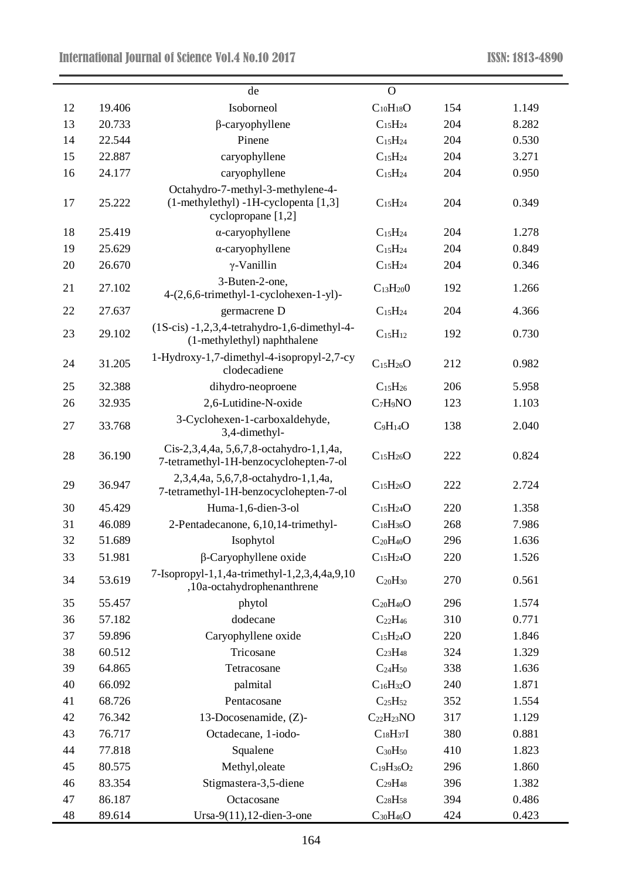|    |        | de                                                                                | $\overline{O}$                    |     |       |
|----|--------|-----------------------------------------------------------------------------------|-----------------------------------|-----|-------|
| 12 | 19.406 | Isoborneol                                                                        | $C_{10}H_{18}O$                   | 154 | 1.149 |
| 13 | 20.733 | $\beta$ -caryophyllene                                                            | C <sub>15</sub> H <sub>24</sub>   | 204 | 8.282 |
| 14 | 22.544 | Pinene                                                                            | $C_{15}H_{24}$                    | 204 | 0.530 |
| 15 | 22.887 | caryophyllene                                                                     | $C_{15}H_{24}$                    | 204 | 3.271 |
| 16 | 24.177 | caryophyllene                                                                     | $C_{15}H_{24}$                    | 204 | 0.950 |
|    |        | Octahydro-7-methyl-3-methylene-4-                                                 |                                   |     |       |
| 17 | 25.222 | (1-methylethyl) -1H-cyclopenta [1,3]<br>cyclopropane [1,2]                        | $C_{15}H_{24}$                    | 204 | 0.349 |
| 18 | 25.419 | $\alpha$ -caryophyllene                                                           | $C_{15}H_{24}$                    | 204 | 1.278 |
| 19 | 25.629 | $\alpha$ -caryophyllene                                                           | $C_{15}H_{24}$                    | 204 | 0.849 |
| 20 | 26.670 | $\gamma$ -Vanillin                                                                | $C_{15}H_{24}$                    | 204 | 0.346 |
| 21 | 27.102 | 3-Buten-2-one,<br>4-(2,6,6-trimethyl-1-cyclohexen-1-yl)-                          | $C_{13}H_{20}0$                   | 192 | 1.266 |
| 22 | 27.637 | germacrene D                                                                      | C <sub>15</sub> H <sub>24</sub>   | 204 | 4.366 |
| 23 | 29.102 | $(1S-cis) -1,2,3,4-tetrahydro-1,6-dimethyl-4-$<br>(1-methylethyl) naphthalene     | $C_{15}H_{12}$                    | 192 | 0.730 |
| 24 | 31.205 | 1-Hydroxy-1,7-dimethyl-4-isopropyl-2,7-cy<br>clodecadiene                         | $C_{15}H_{26}O$                   | 212 | 0.982 |
| 25 | 32.388 | dihydro-neoproene                                                                 | $C_{15}H_{26}$                    | 206 | 5.958 |
| 26 | 32.935 | 2,6-Lutidine-N-oxide                                                              | C <sub>7</sub> H <sub>9</sub> NO  | 123 | 1.103 |
| 27 | 33.768 | 3-Cyclohexen-1-carboxaldehyde,<br>3,4-dimethyl-                                   | $C_9H_{14}O$                      | 138 | 2.040 |
| 28 | 36.190 | Cis-2,3,4,4a, 5,6,7,8-octahydro-1,1,4a,<br>7-tetramethyl-1H-benzocyclohepten-7-ol | C <sub>15</sub> H <sub>26</sub> O | 222 | 0.824 |
| 29 | 36.947 | 2,3,4,4a, 5,6,7,8-octahydro-1,1,4a,<br>7-tetramethyl-1H-benzocyclohepten-7-ol     | C <sub>15</sub> H <sub>26</sub> O | 222 | 2.724 |
| 30 | 45.429 | Huma-1,6-dien-3-ol                                                                | C <sub>15</sub> H <sub>24</sub> O | 220 | 1.358 |
| 31 | 46.089 | 2-Pentadecanone, 6,10,14-trimethyl-                                               | $C_{18}H_{36}O$                   | 268 | 7.986 |
| 32 | 51.689 | Isophytol                                                                         | $C_{20}H_{40}O$                   | 296 | 1.636 |
| 33 | 51.981 | $\beta$ -Caryophyllene oxide                                                      | C <sub>15</sub> H <sub>24</sub> O | 220 | 1.526 |
| 34 | 53.619 | 7-Isopropyl-1,1,4a-trimethyl-1,2,3,4,4a,9,10<br>,10a-octahydrophenanthrene        | $C_{20}H_{30}$                    | 270 | 0.561 |
| 35 | 55.457 | phytol                                                                            | $C_{20}H_{40}O$                   | 296 | 1.574 |
| 36 | 57.182 | dodecane                                                                          | $C_{22}H_{46}$                    | 310 | 0.771 |
| 37 | 59.896 | Caryophyllene oxide                                                               | C <sub>15</sub> H <sub>24</sub> O | 220 | 1.846 |
| 38 | 60.512 | Tricosane                                                                         | C <sub>23</sub> H <sub>48</sub>   | 324 | 1.329 |
| 39 | 64.865 | Tetracosane                                                                       | C <sub>24</sub> H <sub>50</sub>   | 338 | 1.636 |
| 40 | 66.092 | palmital                                                                          | $C_{16}H_{32}O$                   | 240 | 1.871 |
| 41 | 68.726 | Pentacosane                                                                       | C <sub>25</sub> H <sub>52</sub>   | 352 | 1.554 |
| 42 | 76.342 | 13-Docosenamide, (Z)-                                                             | $C_{22}H_{23}NO$                  | 317 | 1.129 |
| 43 | 76.717 | Octadecane, 1-iodo-                                                               | C <sub>18</sub> H <sub>37</sub> I | 380 | 0.881 |
| 44 | 77.818 | Squalene                                                                          | $C_{30}H_{50}$                    | 410 | 1.823 |
| 45 | 80.575 | Methyl, oleate                                                                    | $C_{19}H_{36}O_2$                 | 296 | 1.860 |
| 46 | 83.354 | Stigmastera-3,5-diene                                                             | C <sub>29</sub> H <sub>48</sub>   | 396 | 1.382 |
| 47 | 86.187 | Octacosane                                                                        | $C_{28}H_{58}$                    | 394 | 0.486 |
| 48 | 89.614 | Ursa-9(11), 12-dien-3-one                                                         | $C_{30}H_{46}O$                   | 424 | 0.423 |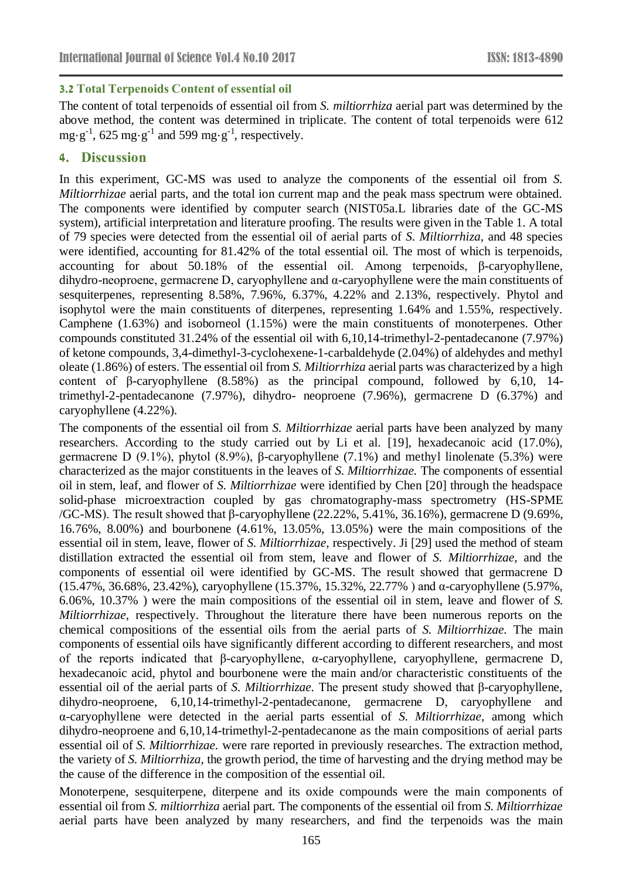### **3.2 Total Terpenoids Content of essential oil**

The content of total terpenoids of essential oil from *S. miltiorrhiza* aerial part was determined by the above method, the content was determined in triplicate. The content of total terpenoids were 612 mg·g<sup>-1</sup>, 625 mg·g<sup>-1</sup> and 599 mg·g<sup>-1</sup>, respectively.

### **4. Discussion**

In this experiment, GC-MS was used to analyze the components of the essential oil from *S. Miltiorrhizae* aerial parts, and the total ion current map and the peak mass spectrum were obtained. The components were identified by computer search (NIST05a.L libraries date of the GC-MS system), artificial interpretation and literature proofing. The results were given in the Table 1. A total of 79 species were detected from the essential oil of aerial parts of *S. Miltiorrhiza,* and 48 species were identified, accounting for 81.42% of the total essential oil. The most of which is terpenoids, accounting for about 50.18% of the essential oil. Among terpenoids, β-caryophyllene, dihydro-neoproene, germacrene D, caryophyllene and α-caryophyllene were the main constituents of sesquiterpenes, representing 8.58%, 7.96%, 6.37%, 4.22% and 2.13%, respectively. Phytol and isophytol were the main constituents of diterpenes, representing 1.64% and 1.55%, respectively. Camphene (1.63%) and isoborneol (1.15%) were the main constituents of monoterpenes. Other compounds constituted 31.24% of the essential oil with 6,10,14-trimethyl-2-pentadecanone (7.97%) of ketone compounds, 3,4-dimethyl-3-cyclohexene-1-carbaldehyde (2.04%) of aldehydes and methyl oleate (1.86%) of esters. The essential oil from *S. Miltiorrhiza* aerial parts was characterized by a high content of β-caryophyllene (8.58%) as the principal compound, followed by 6,10, 14 trimethyl-2-pentadecanone (7.97%), dihydro- neoproene (7.96%), germacrene D (6.37%) and caryophyllene (4.22%).

The components of the essential oil from *S. Miltiorrhizae* aerial parts have been analyzed by many researchers. According to the study carried out by Li et al. [19], hexadecanoic acid (17.0%), germacrene D (9.1%), phytol (8.9%), β-caryophyllene (7.1%) and methyl linolenate (5.3%) were characterized as the major constituents in the leaves of *S. Miltiorrhizae.* The components of essential oil in stem, leaf, and flower of *S. Miltiorrhizae* were identified by Chen [20] through the headspace solid-phase microextraction coupled by gas chromatography-mass spectrometry (HS-SPME /GC-MS). The result showed that β-caryophyllene (22.22%, 5.41%, 36.16%), germacrene D (9.69%, 16.76%, 8.00%) and bourbonene (4.61%, 13.05%, 13.05%) were the main compositions of the essential oil in stem, leave, flower of *S. Miltiorrhizae,* respectively. Ji [29] used the method of steam distillation extracted the essential oil from stem, leave and flower of *S. Miltiorrhizae,* and the components of essential oil were identified by GC-MS. The result showed that germacrene D (15.47%, 36.68%, 23.42%), caryophyllene (15.37%, 15.32%, 22.77% ) and α-caryophyllene (5.97%, 6.06%, 10.37% ) were the main compositions of the essential oil in stem, leave and flower of *S. Miltiorrhizae,* respectively. Throughout the literature there have been numerous reports on the chemical compositions of the essential oils from the aerial parts of *S. Miltiorrhizae.* The main components of essential oils have significantly different according to different researchers, and most of the reports indicated that β-caryophyllene, α-caryophyllene, caryophyllene, germacrene D, hexadecanoic acid, phytol and bourbonene were the main and/or characteristic constituents of the essential oil of the aerial parts of *S. Miltiorrhizae.* The present study showed that β-caryophyllene, dihydro-neoproene, 6,10,14-trimethyl-2-pentadecanone, germacrene D, caryophyllene and α-caryophyllene were detected in the aerial parts essential of *S. Miltiorrhizae,* among which dihydro-neoproene and 6,10,14-trimethyl-2-pentadecanone as the main compositions of aerial parts essential oil of *S. Miltiorrhizae.* were rare reported in previously researches. The extraction method, the variety of *S. Miltiorrhiza*, the growth period, the time of harvesting and the drying method may be the cause of the difference in the composition of the essential oil.

Monoterpene, sesquiterpene, diterpene and its oxide compounds were the main components of essential oil from *S. miltiorrhiza* aerial part*.* The components of the essential oil from *S. Miltiorrhizae*  aerial parts have been analyzed by many researchers, and find the terpenoids was the main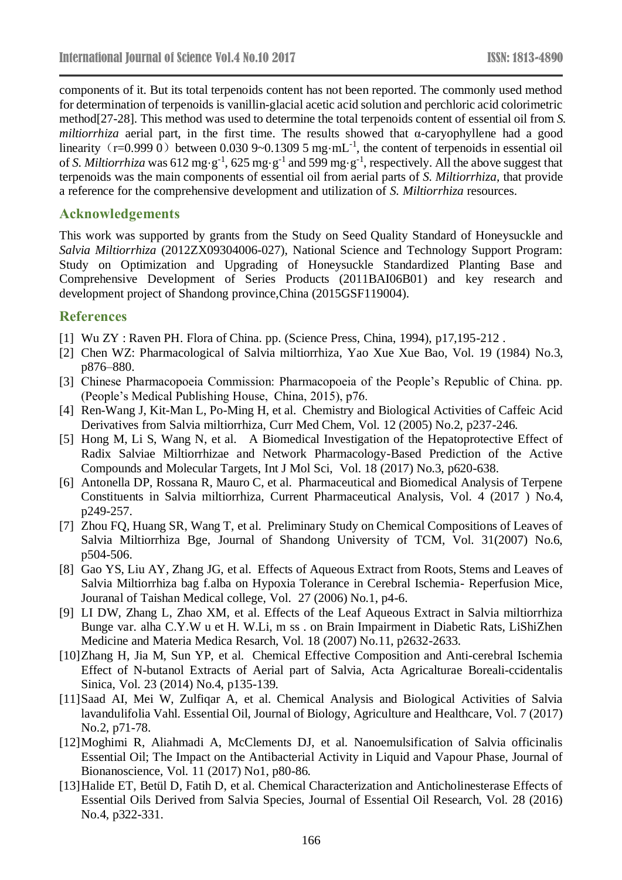components of it. But its total terpenoids content has not been reported. The commonly used method for determination of terpenoids is vanillin-glacial acetic acid solution and perchloric acid colorimetric method[27-28]. This method was used to determine the total terpenoids content of essential oil from *S. miltiorrhiza* aerial part, in the first time. The results showed that α-caryophyllene had a good linearity  $(r=0.999 0)$  between 0.030 9~0.1309 5 mg·mL<sup>-1</sup>, the content of terpenoids in essential oil of *S. Miltiorrhiza* was 612 mg·g<sup>-1</sup>, 625 mg·g<sup>-1</sup> and 599 mg·g<sup>-1</sup>, respectively. All the above suggest that terpenoids was the main components of essential oil from aerial parts of *S. Miltiorrhiza,* that provide a reference for the comprehensive development and utilization of *S. Miltiorrhiza* resources.

### **Acknowledgements**

This work was supported by grants from the Study on Seed Quality Standard of Honeysuckle and *Salvia Miltiorrhiza* (2012ZX09304006-027), National Science and Technology Support Program: Study on Optimization and Upgrading of Honeysuckle Standardized Planting Base and Comprehensive Development of Series Products (2011BAI06B01) and key research and development project of Shandong province,China (2015GSF119004).

## **References**

- [1] Wu ZY : Raven PH. Flora of China. pp. (Science Press, China, 1994), p17,195-212 .
- [2] Chen WZ: Pharmacological of Salvia miltiorrhiza, Yao Xue Xue Bao, Vol. 19 (1984) No.3, p876–880.
- [3] Chinese Pharmacopoeia Commission: Pharmacopoeia of the People's Republic of China. pp. (People's Medical Publishing House, China, 2015), p76.
- [4] Ren-Wang J, Kit-Man L, Po-Ming H, et al. Chemistry and Biological Activities of Caffeic Acid Derivatives from Salvia miltiorrhiza, Curr Med Chem, Vol. 12 (2005) No.2, p237-246.
- [5] Hong M, Li S, Wang N, et al. A Biomedical Investigation of the Hepatoprotective Effect of Radix Salviae Miltiorrhizae and Network Pharmacology-Based Prediction of the Active Compounds and Molecular Targets, Int J Mol Sci, Vol. 18 (2017) No.3, p620-638.
- [6] Antonella DP, Rossana R, Mauro C, et al. Pharmaceutical and Biomedical Analysis of Terpene Constituents in Salvia miltiorrhiza, Current Pharmaceutical Analysis, Vol. 4 (2017 ) No.4, p249-257.
- [7] Zhou FQ, Huang SR, Wang T, et al. Preliminary Study on Chemical Compositions of Leaves of Salvia Miltiorrhiza Bge, Journal of Shandong University of TCM, Vol. 31(2007) No.6, p504-506.
- [8] Gao YS, Liu AY, Zhang JG, et al. Effects of Aqueous Extract from Roots, Stems and Leaves of Salvia Miltiorrhiza bag f.alba on Hypoxia Tolerance in Cerebral Ischemia- Reperfusion Mice, Jouranal of Taishan Medical college, Vol. 27 (2006) No.1, p4-6.
- [9] LI DW, Zhang L, Zhao XM, et al. Effects of the Leaf Aqueous Extract in Salvia miltiorrhiza Bunge var. alha C.Y.W u et H. W.Li, m ss . on Brain Impairment in Diabetic Rats, LiShiZhen Medicine and Materia Medica Resarch, Vol. 18 (2007) No.11, p2632-2633.
- [10]Zhang H, Jia M, Sun YP, et al. Chemical Effective Composition and Anti-cerebral Ischemia Effect of N-butanol Extracts of Aerial part of Salvia, Acta Agricalturae Boreali-ccidentalis Sinica, Vol. 23 (2014) No.4, p135-139.
- [11]Saad AI, Mei W, Zulfiqar A, et al. Chemical Analysis and Biological Activities of Salvia lavandulifolia Vahl. Essential Oil, Journal of Biology, Agriculture and Healthcare, Vol. 7 (2017) No.2, p71-78.
- [12]Moghimi R, Aliahmadi A, McClements DJ, et al. Nanoemulsification of Salvia officinalis Essential Oil; The Impact on the Antibacterial Activity in Liquid and Vapour Phase, Journal of Bionanoscience, Vol. 11 (2017) No1, p80-86.
- [13] Halide ET, Bet ül D, Fatih D, et al. Chemical Characterization and Anticholinesterase Effects of Essential Oils Derived from Salvia Species, Journal of Essential Oil Research, Vol. 28 (2016) No.4, p322-331.